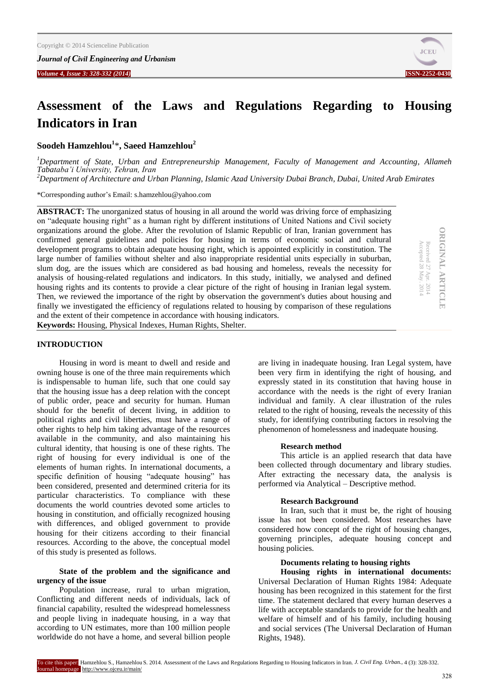*Journal of Civil Engineering and Urbanism*

*Volume 4, Issue 3: 328-332 (2014)* **ISSN-2252-0430**



# **Assessment of the Laws and Regulations Regarding to Housing Indicators in Iran**

**Soodeh Hamzehlou<sup>1</sup>** \***, Saeed Hamzehlou<sup>2</sup>**

*<sup>1</sup>Department of State, Urban and Entrepreneurship Management, [Faculty of Management and Accounting,](http://atu.ac.ir/en/contents/Faculty_staffs/FacultyofManagementandAccounting/Faculty.of.Management.and.Accounting.html) Allameh Tabataba'i University, Tehran, Iran <sup>2</sup>Department of Architecture and Urban Planning, Islamic Azad University Dubai Branch, Dubai, United Arab Emirates*

\*Corresponding author's Email: s.hamzehlou@yahoo.com

**ABSTRACT:** The unorganized status of housing in all around the world was driving force of emphasizing on "adequate housing right" as a human right by different institutions of United Nations and Civil society organizations around the globe. After the revolution of Islamic Republic of Iran, Iranian government has confirmed general guidelines and policies for housing in terms of economic social and cultural development programs to obtain adequate housing right, which is appointed explicitly in constitution. The large number of families without shelter and also inappropriate residential units especially in suburban, slum dog, are the issues which are considered as bad housing and homeless, reveals the necessity for analysis of housing-related regulations and indicators. In this study, initially, we analysed and defined housing rights and its contents to provide a clear picture of the right of housing in Iranian legal system. Then, we reviewed the importance of the right by observation the government's duties about housing and finally we investigated the efficiency of regulations related to housing by comparison of these regulations and the extent of their competence in accordance with housing indicators.

**ORIGINAL ARTICLE DRIGINAL ARTICLE** Received 27 Apr. 2014<br>Accepted 28 May. 2014 Received 27 Apr. 2014

Accepted 28 May. 2014

**Keywords:** Housing, Physical Indexes, Human Rights, Shelter.

#### **INTRODUCTION**

Housing in word is meant to dwell and reside and owning house is one of the three main requirements which is indispensable to human life, such that one could say that the housing issue has a deep relation with the concept of public order, peace and security for human. Human should for the benefit of decent living, in addition to political rights and civil liberties, must have a range of other rights to help him taking advantage of the resources available in the community, and also maintaining his cultural identity, that housing is one of these rights. The right of housing for every individual is one of the elements of human rights. In international documents, a specific definition of housing "adequate housing" has been considered, presented and determined criteria for its particular characteristics. To compliance with these documents the world countries devoted some articles to housing in constitution, and officially recognized housing with differences, and obliged government to provide housing for their citizens according to their financial resources. According to the above, the conceptual model of this study is presented as follows.

# **State of the problem and the significance and urgency of the issue**

Population increase, rural to urban migration, Conflicting and different needs of individuals, lack of financial capability, resulted the widespread homelessness and people living in inadequate housing, in a way that according to UN estimates, more than 100 million people worldwide do not have a home, and several billion people

are living in inadequate housing. Iran Legal system, have been very firm in identifying the right of housing, and expressly stated in its constitution that having house in accordance with the needs is the right of every Iranian individual and family. A clear illustration of the rules related to the right of housing, reveals the necessity of this study, for identifying contributing factors in resolving the phenomenon of homelessness and inadequate housing.

#### **Research method**

This article is an applied research that data have been collected through documentary and library studies. After extracting the necessary data, the analysis is performed via Analytical – Descriptive method.

#### **Research Background**

In Iran, such that it must be, the right of housing issue has not been considered. Most researches have considered how concept of the right of housing changes, governing principles, adequate housing concept and housing policies.

#### **Documents relating to housing rights**

**Housing rights in international documents:** Universal Declaration of Human Rights 1984: Adequate housing has been recognized in this statement for the first time. The statement declared that every human deserves a life with acceptable standards to provide for the health and welfare of himself and of his family, including housing and social services (The Universal Declaration of Human Rights, 1948).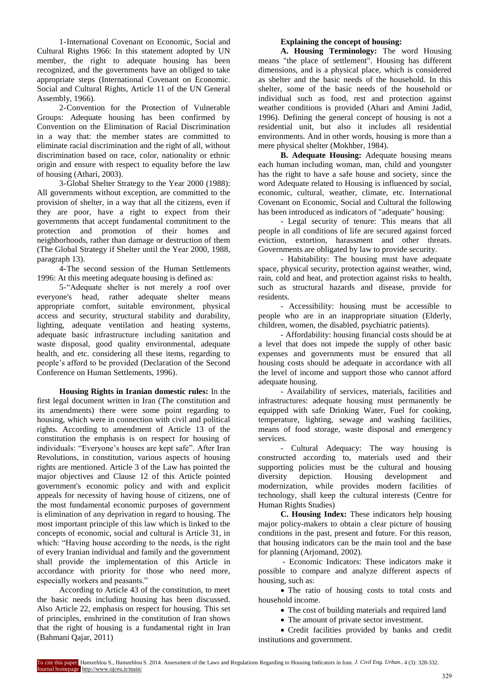1-International Covenant on Economic, Social and Cultural Rights 1966: In this statement adopted by UN member, the right to adequate housing has been recognized, and the governments have an obliged to take appropriate steps (International Covenant on Economic. Social and Cultural Rights, Article 11 of the UN General Assembly, 1966).

2-Convention for the Protection of Vulnerable Groups: Adequate housing has been confirmed by Convention on the Elimination of Racial Discrimination in a way that: the member states are committed to eliminate racial discrimination and the right of all, without discrimination based on race, color, nationality or ethnic origin and ensure with respect to equality before the law of housing (Athari, 2003).

3-Global Shelter Strategy to the Year 2000 (1988): All governments without exception, are committed to the provision of shelter, in a way that all the citizens, even if they are poor, have a right to expect from their governments that accept fundamental commitment to the protection and promotion of their homes and neighborhoods, rather than damage or destruction of them (The Global Strategy if Shelter until the Year 2000, 1988, paragraph 13).

4-The second session of the Human Settlements 1996: At this meeting adequate housing is defined as:

5-"Adequate shelter is not merely a roof over everyone's head, rather adequate shelter means appropriate comfort, suitable environment, physical access and security, structural stability and durability, lighting, adequate ventilation and heating systems, adequate basic infrastructure including sanitation and waste disposal, good quality environmental, adequate health, and etc. considering all these items, regarding to people's afford to be provided (Declaration of the Second Conference on Human Settlements, 1996).

**Housing Rights in Iranian domestic rules:** In the first legal document written in Iran (The constitution and its amendments) there were some point regarding to housing, which were in connection with civil and political rights. According to amendment of Article 13 of the constitution the emphasis is on respect for housing of individuals: "Everyone's houses are kept safe". After Iran Revolutions, in constitution, various aspects of housing rights are mentioned. Article 3 of the Law has pointed the major objectives and Clause 12 of this Article pointed government's economic policy and with and explicit appeals for necessity of having house of citizens, one of the most fundamental economic purposes of government is elimination of any deprivation in regard to housing. The most important principle of this law which is linked to the concepts of economic, social and cultural is Article 31, in which: "Having house according to the needs, is the right of every Iranian individual and family and the government shall provide the implementation of this Article in accordance with priority for those who need more, especially workers and peasants."

According to Article 43 of the constitution, to meet the basic needs including housing has been discussed. Also Article 22, emphasis on respect for housing. This set of principles, enshrined in the constitution of Iran shows that the right of housing is a fundamental right in Iran (Bahmani Qajar, 2011)

# **Explaining the concept of housing:**

**A. Housing Terminology:** The word Housing means "the place of settlement". Housing has different dimensions, and is a physical place, which is considered as shelter and the basic needs of the household. In this shelter, some of the basic needs of the household or individual such as food, rest and protection against weather conditions is provided (Ahari and Amini Jadid, 1996). Defining the general concept of housing is not a residential unit, but also it includes all residential environments. And in other words, housing is more than a mere physical shelter (Mokhber, 1984).

**B. Adequate Housing:** Adequate housing means each human including woman, man, child and youngster has the right to have a safe house and society, since the word Adequate related to Housing is influenced by social, economic, cultural, weather, climate, etc. International Covenant on Economic, Social and Cultural the following has been introduced as indicators of "adequate" housing:

- Legal security of tenure: This means that all people in all conditions of life are secured against forced eviction, extortion, harassment and other threats. Governments are obligated by law to provide security.

- Habitability: The housing must have adequate space, physical security, protection against weather, wind, rain, cold and heat, and protection against risks to health, such as structural hazards and disease, provide for residents.

- Accessibility: housing must be accessible to people who are in an inappropriate situation (Elderly, children, women, the disabled, psychiatric patients).

- Affordability: housing financial costs should be at a level that does not impede the supply of other basic expenses and governments must be ensured that all housing costs should be adequate in accordance with all the level of income and support those who cannot afford adequate housing.

- Availability of services, materials, facilities and infrastructures: adequate housing must permanently be equipped with safe Drinking Water, Fuel for cooking, temperature, lighting, sewage and washing facilities, means of food storage, waste disposal and emergency services.

- Cultural Adequacy: The way housing is constructed according to, materials used and their supporting policies must be the cultural and housing diversity depiction. Housing development and modernization, while provides modern facilities of technology, shall keep the cultural interests (Centre for Human Rights Studies)

**C. Housing Index:** These indicators help housing major policy-makers to obtain a clear picture of housing conditions in the past, present and future. For this reason, that housing indicators can be the main tool and the base for planning (Arjomand, 2002).

- Economic Indicators: These indicators make it possible to compare and analyze different aspects of housing, such as:

• The ratio of housing costs to total costs and household income.

• The cost of building materials and required land

• The amount of private sector investment.

 Credit facilities provided by banks and credit institutions and government.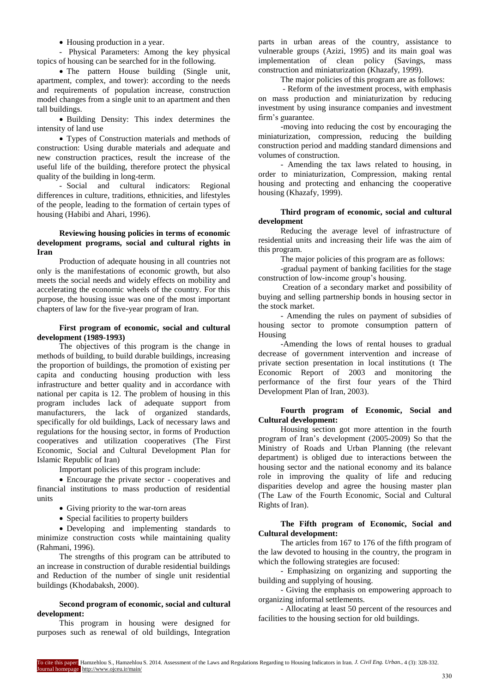Housing production in a year.

- Physical Parameters: Among the key physical topics of housing can be searched for in the following.

• The pattern House building (Single unit, apartment, complex, and tower): according to the needs and requirements of population increase, construction model changes from a single unit to an apartment and then tall buildings.

 Building Density: This index determines the intensity of land use

 Types of Construction materials and methods of construction: Using durable materials and adequate and new construction practices, result the increase of the useful life of the building, therefore protect the physical quality of the building in long-term.

- Social and cultural indicators: Regional differences in culture, traditions, ethnicities, and lifestyles of the people, leading to the formation of certain types of housing (Habibi and Ahari, 1996).

# **Reviewing housing policies in terms of economic development programs, social and cultural rights in Iran**

Production of adequate housing in all countries not only is the manifestations of economic growth, but also meets the social needs and widely effects on mobility and accelerating the economic wheels of the country. For this purpose, the housing issue was one of the most important chapters of law for the five-year program of Iran.

# **First program of economic, social and cultural development (1989-1993)**

The objectives of this program is the change in methods of building, to build durable buildings, increasing the proportion of buildings, the promotion of existing per capita and conducting housing production with less infrastructure and better quality and in accordance with national per capita is 12. The problem of housing in this program includes lack of adequate support from manufacturers, the lack of organized standards, specifically for old buildings, Lack of necessary laws and regulations for the housing sector, in forms of Production cooperatives and utilization cooperatives (The First Economic, Social and Cultural Development Plan for Islamic Republic of Iran)

Important policies of this program include:

 Encourage the private sector - cooperatives and financial institutions to mass production of residential units

• Giving priority to the war-torn areas

• Special facilities to property builders

 Developing and implementing standards to minimize construction costs while maintaining quality (Rahmani, 1996).

The strengths of this program can be attributed to an increase in construction of durable residential buildings and Reduction of the number of single unit residential buildings (Khodabaksh, 2000).

#### **Second program of economic, social and cultural development:**

This program in housing were designed for purposes such as renewal of old buildings, Integration

parts in urban areas of the country, assistance to vulnerable groups (Azizi, 1995) and its main goal was implementation of clean policy (Savings, mass construction and miniaturization (Khazafy, 1999).

The major policies of this program are as follows:

- Reform of the investment process, with emphasis on mass production and miniaturization by reducing investment by using insurance companies and investment firm's guarantee.

-moving into reducing the cost by encouraging the miniaturization, compression, reducing the building construction period and madding standard dimensions and volumes of construction.

- Amending the tax laws related to housing, in order to miniaturization, Compression, making rental housing and protecting and enhancing the cooperative housing (Khazafy, 1999).

# **Third program of economic, social and cultural development**

Reducing the average level of infrastructure of residential units and increasing their life was the aim of this program.

The major policies of this program are as follows:

-gradual payment of banking facilities for the stage construction of low-income group's housing.

Creation of a secondary market and possibility of buying and selling partnership bonds in housing sector in the stock market.

- Amending the rules on payment of subsidies of housing sector to promote consumption pattern of Housing

-Amending the lows of rental houses to gradual decrease of government intervention and increase of private section presentation in local institutions (t The Economic Report of 2003 and monitoring the performance of the first four years of the Third Development Plan of Iran, 2003).

# **Fourth program of Economic, Social and Cultural development:**

Housing section got more attention in the fourth program of Iran's development (2005-2009) So that the Ministry of Roads and Urban Planning (the relevant department) is obliged due to interactions between the housing sector and the national economy and its balance role in improving the quality of life and reducing disparities develop and agree the housing master plan (The Law of the Fourth Economic, Social and Cultural Rights of Iran).

# **The Fifth program of Economic, Social and Cultural development:**

The articles from 167 to 176 of the fifth program of the law devoted to housing in the country, the program in which the following strategies are focused:

- Emphasizing on organizing and supporting the building and supplying of housing.

- Giving the emphasis on empowering approach to organizing informal settlements.

- Allocating at least 50 percent of the resources and facilities to the housing section for old buildings.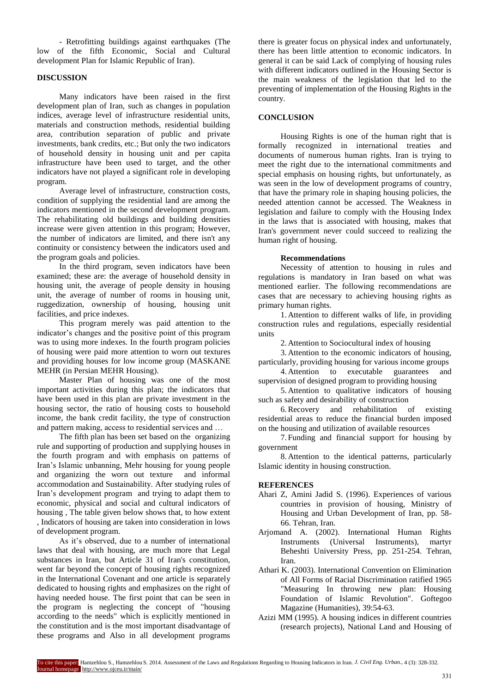- Retrofitting buildings against earthquakes (The low of the fifth Economic, Social and Cultural development Plan for Islamic Republic of Iran).

# **DISCUSSION**

Many indicators have been raised in the first development plan of Iran, such as changes in population indices, average level of infrastructure residential units, materials and construction methods, residential building area, contribution separation of public and private investments, bank credits, etc.; But only the two indicators of household density in housing unit and per capita infrastructure have been used to target, and the other indicators have not played a significant role in developing program.

Average level of infrastructure, construction costs, condition of supplying the residential land are among the indicators mentioned in the second development program. The rehabilitating old buildings and building densities increase were given attention in this program; However, the number of indicators are limited, and there isn't any continuity or consistency between the indicators used and the program goals and policies.

In the third program, seven indicators have been examined; these are: the average of household density in housing unit, the average of people density in housing unit, the average of number of rooms in housing unit, ruggedization, ownership of housing, housing unit facilities, and price indexes.

This program merely was paid attention to the indicator's changes and the positive point of this program was to using more indexes. In the fourth program policies of housing were paid more attention to worn out textures and providing houses for low income group (MASKANE MEHR (in Persian MEHR Housing).

Master Plan of housing was one of the most important activities during this plan; the indicators that have been used in this plan are private investment in the housing sector, the ratio of housing costs to household income, the bank credit facility, the type of construction and pattern making, access to residential services and …

The fifth plan has been set based on the organizing rule and supporting of production and supplying houses in the fourth program and with emphasis on patterns of Iran's Islamic unbanning, Mehr housing for young people and organizing the worn out texture and informal accommodation and Sustainability. After studying rules of Iran's development program and trying to adapt them to economic, physical and social and cultural indicators of housing , The table given below shows that, to how extent , Indicators of housing are taken into consideration in lows of development program.

As it's observed, due to a number of international laws that deal with housing, are much more that Legal substances in Iran, but Article 31 of Iran's constitution, went far beyond the concept of housing rights recognized in the International Covenant and one article is separately dedicated to housing rights and emphasizes on the right of having needed house. The first point that can be seen in the program is neglecting the concept of "housing according to the needs" which is explicitly mentioned in the constitution and is the most important disadvantage of these programs and Also in all development programs

there is greater focus on physical index and unfortunately, there has been little attention to economic indicators. In general it can be said Lack of complying of housing rules with different indicators outlined in the Housing Sector is the main weakness of the legislation that led to the preventing of implementation of the Housing Rights in the country.

#### **CONCLUSION**

Housing Rights is one of the human right that is formally recognized in international treaties and documents of numerous human rights. Iran is trying to meet the right due to the international commitments and special emphasis on housing rights, but unfortunately, as was seen in the low of development programs of country, that have the primary role in shaping housing policies, the needed attention cannot be accessed. The Weakness in legislation and failure to comply with the Housing Index in the laws that is associated with housing, makes that Iran's government never could succeed to realizing the human right of housing.

#### **Recommendations**

Necessity of attention to housing in rules and regulations is mandatory in Iran based on what was mentioned earlier. The following recommendations are cases that are necessary to achieving housing rights as primary human rights.

1. Attention to different walks of life, in providing construction rules and regulations, especially residential units

2. Attention to Sociocultural index of housing

3. Attention to the economic indicators of housing, particularly, providing housing for various income groups

4. Attention to executable guarantees and supervision of designed program to providing housing

5. Attention to qualitative indicators of housing such as safety and desirability of construction

6.Recovery and rehabilitation of existing residential areas to reduce the financial burden imposed on the housing and utilization of available resources

7. Funding and financial support for housing by government

8. Attention to the identical patterns, particularly Islamic identity in housing construction.

#### **REFERENCES**

- Ahari Z, Amini Jadid S. (1996). Experiences of various countries in provision of housing, Ministry of Housing and Urban Development of Iran, pp. 58- 66. Tehran, Iran.
- Arjomand A. (2002). International Human Rights Instruments (Universal Instruments), martyr Beheshti University Press, pp. 251-254. Tehran, Iran.
- Athari K. (2003). International Convention on Elimination of All Forms of Racial Discrimination ratified 1965 "Measuring In throwing new plan: Housing Foundation of Islamic Revolution". Goftegoo Magazine (Humanities), 39:54-63.
- Azizi MM (1995). A housing indices in different countries (research projects), National Land and Housing of